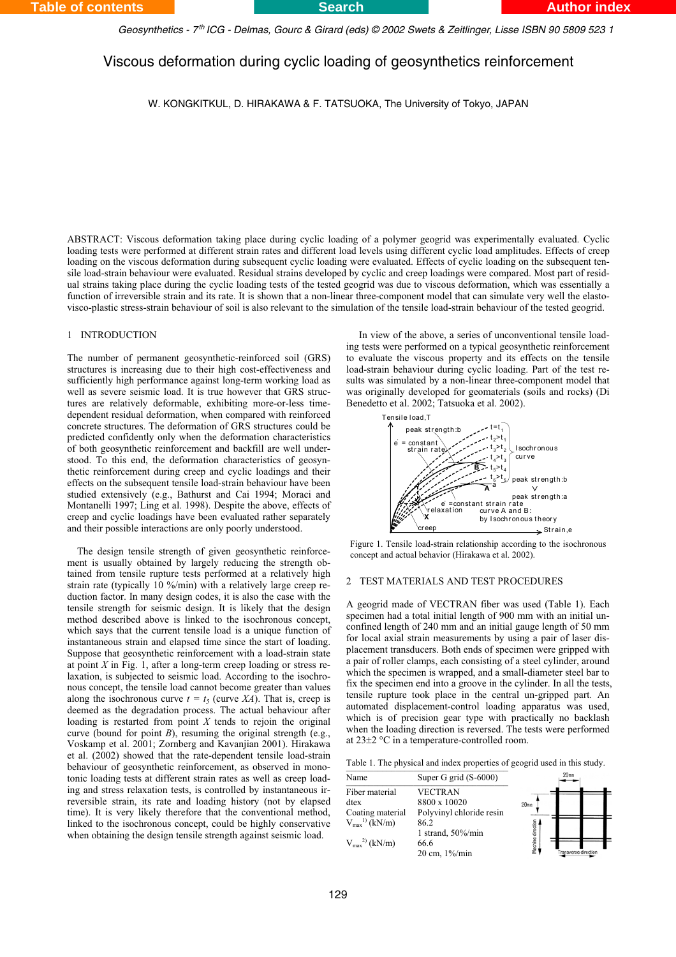*Geosynthetics - 7 ICG - Delmas, Gourc & Girard (eds) © 2002 Swets & Zeitlinger, Lisse ISBN 90 5809 523 1 th*

# Viscous deformation during cyclic loading of geosynthetics reinforcement

W. KONGKITKUL, D. HIRAKAWA & F. TATSUOKA, The University of Tokyo, JAPAN

ABSTRACT: Viscous deformation taking place during cyclic loading of a polymer geogrid was experimentally evaluated. Cyclic loading tests were performed at different strain rates and different load levels using different cyclic load amplitudes. Effects of creep loading on the viscous deformation during subsequent cyclic loading were evaluated. Effects of cyclic loading on the subsequent tensile load-strain behaviour were evaluated. Residual strains developed by cyclic and creep loadings were compared. Most part of residual strains taking place during the cyclic loading tests of the tested geogrid was due to viscous deformation, which was essentially a function of irreversible strain and its rate. It is shown that a non-linear three-component model that can simulate very well the elastovisco-plastic stress-strain behaviour of soil is also relevant to the simulation of the tensile load-strain behaviour of the tested geogrid.

## 1 INTRODUCTION

The number of permanent geosynthetic-reinforced soil (GRS) structures is increasing due to their high cost-effectiveness and sufficiently high performance against long-term working load as well as severe seismic load. It is true however that GRS structures are relatively deformable, exhibiting more-or-less timedependent residual deformation, when compared with reinforced concrete structures. The deformation of GRS structures could be predicted confidently only when the deformation characteristics of both geosynthetic reinforcement and backfill are well understood. To this end, the deformation characteristics of geosynthetic reinforcement during creep and cyclic loadings and their effects on the subsequent tensile load-strain behaviour have been studied extensively (e.g., Bathurst and Cai 1994; Moraci and Montanelli 1997; Ling et al. 1998). Despite the above, effects of creep and cyclic loadings have been evaluated rather separately and their possible interactions are only poorly understood.

The design tensile strength of given geosynthetic reinforcement is usually obtained by largely reducing the strength obtained from tensile rupture tests performed at a relatively high strain rate (typically 10 %/min) with a relatively large creep reduction factor. In many design codes, it is also the case with the tensile strength for seismic design. It is likely that the design method described above is linked to the isochronous concept, which says that the current tensile load is a unique function of instantaneous strain and elapsed time since the start of loading. Suppose that geosynthetic reinforcement with a load-strain state at point *X* in Fig. 1, after a long-term creep loading or stress relaxation, is subjected to seismic load. According to the isochronous concept, the tensile load cannot become greater than values along the isochronous curve  $t = t_5$  (curve *XA*). That is, creep is deemed as the degradation process. The actual behaviour after loading is restarted from point  $X$  tends to rejoin the original curve (bound for point *B*), resuming the original strength (e.g., Voskamp et al. 2001; Zornberg and Kavanjian 2001). Hirakawa et al. (2002) showed that the rate-dependent tensile load-strain behaviour of geosynthetic reinforcement, as observed in monotonic loading tests at different strain rates as well as creep loading and stress relaxation tests, is controlled by instantaneous irreversible strain, its rate and loading history (not by elapsed time). It is very likely therefore that the conventional method, linked to the isochronous concept, could be highly conservative when obtaining the design tensile strength against seismic load.

In view of the above, a series of unconventional tensile loading tests were performed on a typical geosynthetic reinforcement to evaluate the viscous property and its effects on the tensile load-strain behaviour during cyclic loading. Part of the test results was simulated by a non-linear three-component model that was originally developed for geomaterials (soils and rocks) (Di Benedetto et al. 2002; Tatsuoka et al. 2002).



Figure 1. Tensile load-strain relationship according to the isochronous concept and actual behavior (Hirakawa et al. 2002).

### 2 TEST MATERIALS AND TEST PROCEDURES

A geogrid made of VECTRAN fiber was used (Table 1). Each specimen had a total initial length of 900 mm with an initial unconfined length of 240 mm and an initial gauge length of 50 mm for local axial strain measurements by using a pair of laser displacement transducers. Both ends of specimen were gripped with a pair of roller clamps, each consisting of a steel cylinder, around which the specimen is wrapped, and a small-diameter steel bar to fix the specimen end into a groove in the cylinder. In all the tests, tensile rupture took place in the central un-gripped part. An automated displacement-control loading apparatus was used, which is of precision gear type with practically no backlash when the loading direction is reversed. The tests were performed at  $23\pm2$  °C in a temperature-controlled room.

Table 1. The physical and index properties of geogrid used in this study.

| Name                      | Super G grid (S-6000)    |                  | 20 <sub>mm</sub>    |  |
|---------------------------|--------------------------|------------------|---------------------|--|
| Fiber material            | <b>VECTRAN</b>           |                  |                     |  |
| dtex                      | 8800 x 10020             | 20 <sub>mm</sub> |                     |  |
| Coating material          | Polyvinyl chloride resin |                  |                     |  |
| $V_{max}^{1)}$ (kN/m)     | 86.2                     |                  |                     |  |
|                           | 1 strand, $50\%$ /min    |                  |                     |  |
| $V_{\rm max}^{2)}$ (kN/m) | 66.6                     |                  |                     |  |
|                           | 20 cm, 1%/min            |                  | ransverse direction |  |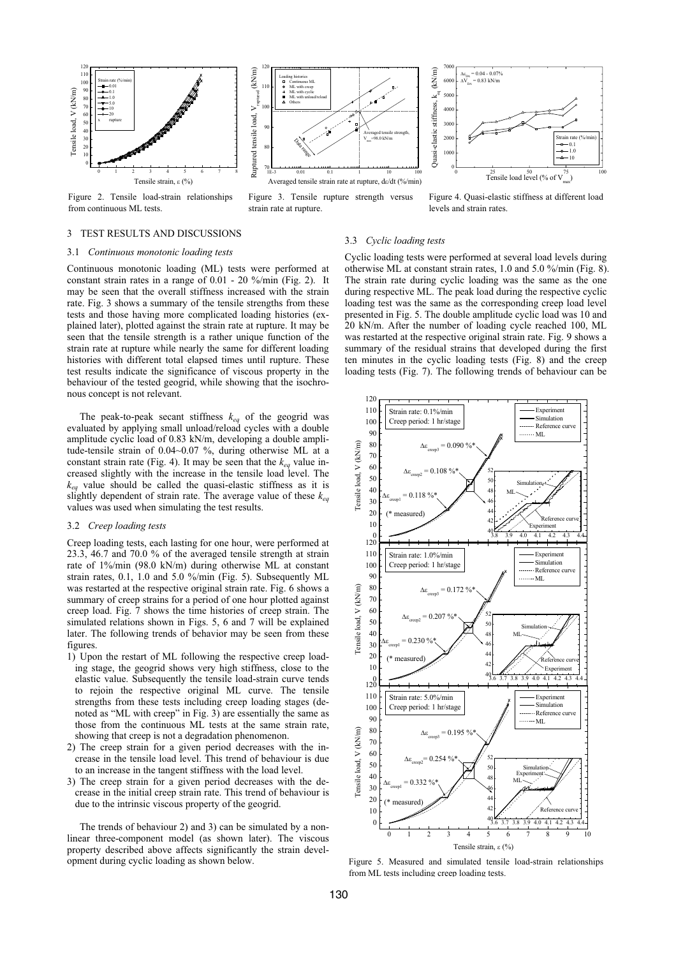



Figure 3. Tensile rupture strength versus strain rate at rupture.



Figure 4. Quasi-elastic stiffness at different load levels and strain rates.

## 3 TEST RESULTS AND DISCUSSIONS

#### 3.1 *Continuous monotonic loading tests*

from continuous ML tests.

Continuous monotonic loading (ML) tests were performed at constant strain rates in a range of 0.01 - 20 %/min (Fig. 2). It may be seen that the overall stiffness increased with the strain rate. Fig. 3 shows a summary of the tensile strengths from these tests and those having more complicated loading histories (explained later), plotted against the strain rate at rupture. It may be seen that the tensile strength is a rather unique function of the strain rate at rupture while nearly the same for different loading histories with different total elapsed times until rupture. These test results indicate the significance of viscous property in the behaviour of the tested geogrid, while showing that the isochronous concept is not relevant.

The peak-to-peak secant stiffness  $k_{eq}$  of the geogrid was evaluated by applying small unload/reload cycles with a double amplitude cyclic load of 0.83 kN/m, developing a double amplitude-tensile strain of 0.04~0.07 %, during otherwise ML at a constant strain rate (Fig. 4). It may be seen that the  $k_{ea}$  value increased slightly with the increase in the tensile load level. The *keq* value should be called the quasi-elastic stiffness as it is slightly dependent of strain rate. The average value of these  $k_{eq}$ values was used when simulating the test results.

#### 3.2 *Creep loading tests*

Creep loading tests, each lasting for one hour, were performed at 23.3, 46.7 and 70.0 % of the averaged tensile strength at strain rate of 1%/min (98.0 kN/m) during otherwise ML at constant strain rates, 0.1, 1.0 and 5.0 %/min (Fig. 5). Subsequently ML was restarted at the respective original strain rate. Fig. 6 shows a summary of creep strains for a period of one hour plotted against creep load. Fig. 7 shows the time histories of creep strain. The simulated relations shown in Figs. 5, 6 and 7 will be explained later. The following trends of behavior may be seen from these figures

- 1) Upon the restart of ML following the respective creep loading stage, the geogrid shows very high stiffness, close to the elastic value. Subsequently the tensile load-strain curve tends to rejoin the respective original ML curve. The tensile strengths from these tests including creep loading stages (denoted as "ML with creep" in Fig. 3) are essentially the same as those from the continuous ML tests at the same strain rate, showing that creep is not a degradation phenomenon.
- 2) The creep strain for a given period decreases with the increase in the tensile load level. This trend of behaviour is due to an increase in the tangent stiffness with the load level.
- 3) The creep strain for a given period decreases with the decrease in the initial creep strain rate. This trend of behaviour is due to the intrinsic viscous property of the geogrid.

The trends of behaviour 2) and 3) can be simulated by a nonlinear three-component model (as shown later). The viscous property described above affects significantly the strain development during cyclic loading as shown below.

#### 3.3 *Cyclic loading tests*

Cyclic loading tests were performed at several load levels during otherwise ML at constant strain rates, 1.0 and 5.0 %/min (Fig. 8). The strain rate during cyclic loading was the same as the one during respective ML. The peak load during the respective cyclic loading test was the same as the corresponding creep load level presented in Fig. 5. The double amplitude cyclic load was 10 and 20 kN/m. After the number of loading cycle reached 100, ML was restarted at the respective original strain rate. Fig. 9 shows a summary of the residual strains that developed during the first ten minutes in the cyclic loading tests (Fig. 8) and the creep loading tests (Fig. 7). The following trends of behaviour can be



Figure 5. Measured and simulated tensile load-strain relationships from ML tests including creep loading tests.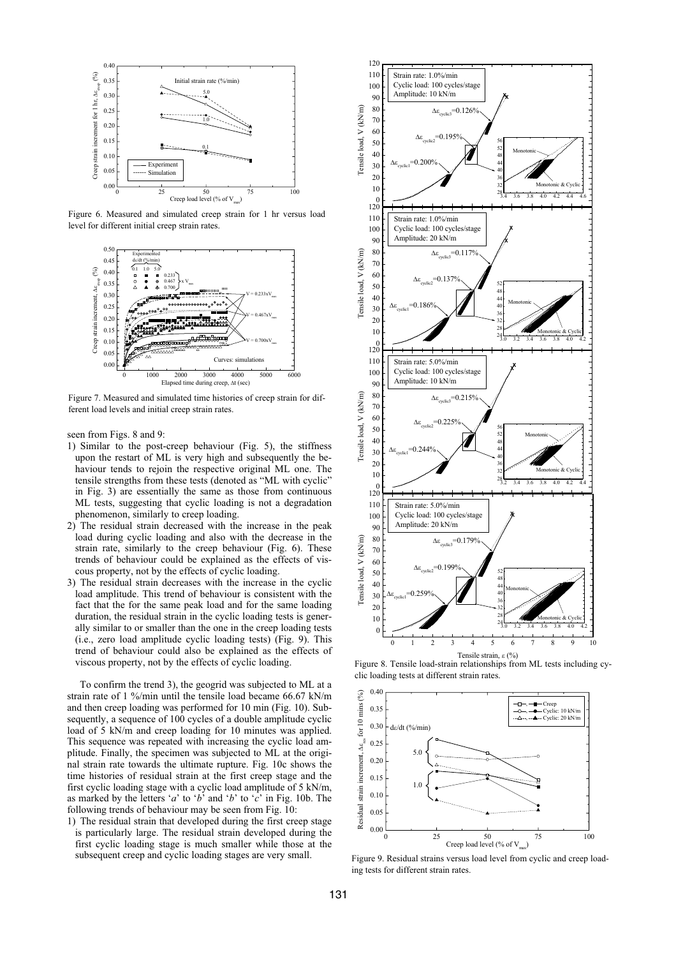

Figure 6. Measured and simulated creep strain for 1 hr versus load level for different initial creep strain rates.



Figure 7. Measured and simulated time histories of creep strain for different load levels and initial creep strain rates.

seen from Figs. 8 and 9:

- 1) Similar to the post-creep behaviour (Fig. 5), the stiffness upon the restart of ML is very high and subsequently the behaviour tends to rejoin the respective original ML one. The tensile strengths from these tests (denoted as "ML with cyclic" in Fig. 3) are essentially the same as those from continuous ML tests, suggesting that cyclic loading is not a degradation phenomenon, similarly to creep loading.
- 2) The residual strain decreased with the increase in the peak load during cyclic loading and also with the decrease in the strain rate, similarly to the creep behaviour (Fig. 6). These trends of behaviour could be explained as the effects of viscous property, not by the effects of cyclic loading.
- 3) The residual strain decreases with the increase in the cyclic load amplitude. This trend of behaviour is consistent with the fact that the for the same peak load and for the same loading duration, the residual strain in the cyclic loading tests is generally similar to or smaller than the one in the creep loading tests (i.e., zero load amplitude cyclic loading tests) (Fig. 9). This trend of behaviour could also be explained as the effects of viscous property, not by the effects of cyclic loading.

To confirm the trend 3), the geogrid was subjected to ML at a strain rate of 1 %/min until the tensile load became 66.67 kN/m and then creep loading was performed for 10 min (Fig. 10). Subsequently, a sequence of 100 cycles of a double amplitude cyclic load of 5 kN/m and creep loading for 10 minutes was applied. This sequence was repeated with increasing the cyclic load amplitude. Finally, the specimen was subjected to ML at the original strain rate towards the ultimate rupture. Fig. 10c shows the time histories of residual strain at the first creep stage and the first cyclic loading stage with a cyclic load amplitude of 5 kN/m, as marked by the letters '*a*' to '*b*' and '*b*' to '*c*' in Fig. 10b. The following trends of behaviour may be seen from Fig. 10:

1) The residual strain that developed during the first creep stage is particularly large. The residual strain developed during the first cyclic loading stage is much smaller while those at the subsequent creep and cyclic loading stages are very small.



Figure 8. Tensile load-strain relationships from ML tests including cyclic loading tests at different strain rates.



Figure 9. Residual strains versus load level from cyclic and creep loading tests for different strain rates.